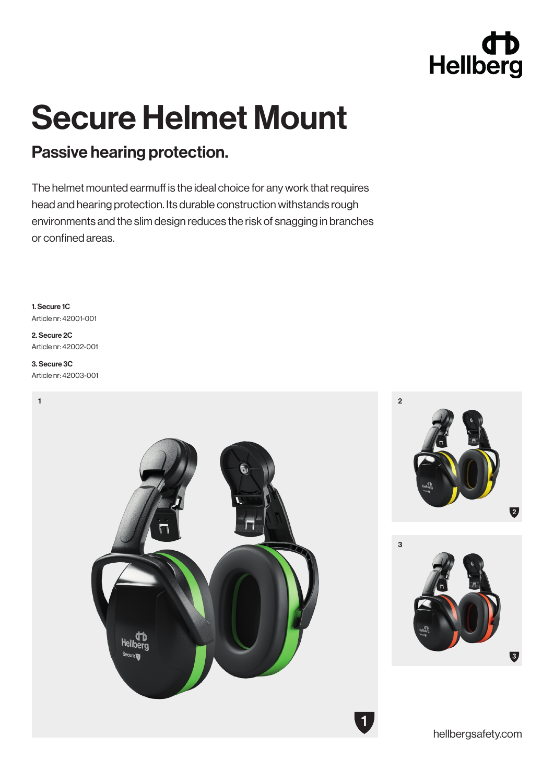# Hellberg

## Secure Helmet Mount

### Passive hearing protection.

The helmet mounted earmuff is the ideal choice for any work that requires head and hearing protection. Its durable construction withstands rough environments and the slim design reduces the risk of snagging in branches or confined areas.

1. Secure 1C Article nr: 42001-001

2. Secure 2C Article nr: 42002-001

#### 3. Secure 3C Article nr: 42003-001

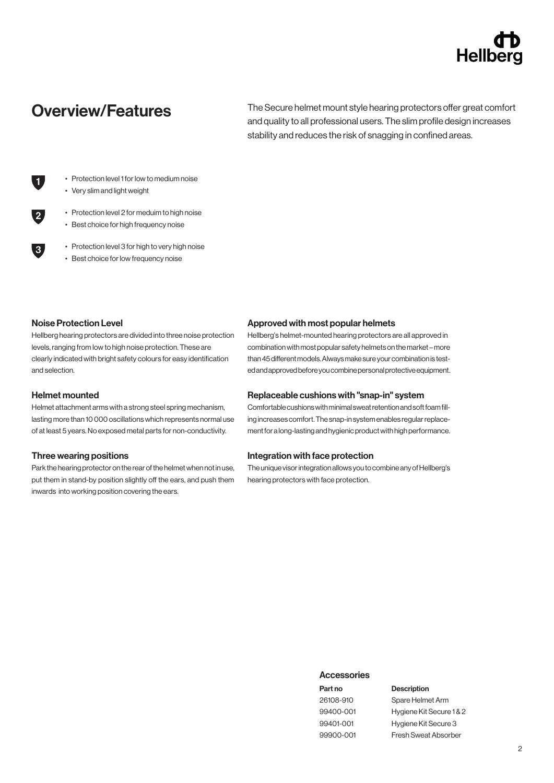## Hellbe

Overview/Features The Secure helmet mount style hearing protectors offer great comfort and quality to all professional users. The slim profile design increases stability and reduces the risk of snagging in confined areas.

- Protection level 1 for low to medium noise
- Very slim and light weight
- Protection level 2 for meduim to high noise
- Best choice for high frequency noise
- Protection level 3 for high to very high noise
- Best choice for low frequency noise

#### Noise Protection Level

 $\blacksquare$ 

 $3<sub>1</sub>$ 

Hellberg hearing protectors are divided into three noise protection levels, ranging from low to high noise protection. These are clearly indicated with bright safety colours for easy identification and selection.

#### Helmet mounted

Helmet attachment arms with a strong steel spring mechanism, lasting more than 10 000 oscillations which represents normal use of at least 5 years. No exposed metal parts for non-conductivity.

#### Three wearing positions

Park the hearing protector on the rear of the helmet when not in use, put them in stand-by position slightly off the ears, and push them inwards into working position covering the ears.

#### Approved with most popular helmets

Hellberg's helmet-mounted hearing protectors are all approved in combination with most popular safety helmets on the market – more than 45 different models. Always make sure your combination is tested and approved before you combine personal protective equipment.

#### Replaceable cushions with "snap-in" system

Comfortable cushions with minimal sweat retention and soft foam filling increases comfort. The snap-in system enables regular replacement for a long-lasting and hygienic product with high performance.

#### Integration with face protection

The unique visor integration allows you to combine any of Hellberg's hearing protectors with face protection.

#### **Accessories**

#### Part no 26108-910

99400-001 99401-001 99900-001

#### Description

Spare Helmet Arm Hygiene Kit Secure 1 & 2 Hygiene Kit Secure 3 Fresh Sweat Absorber